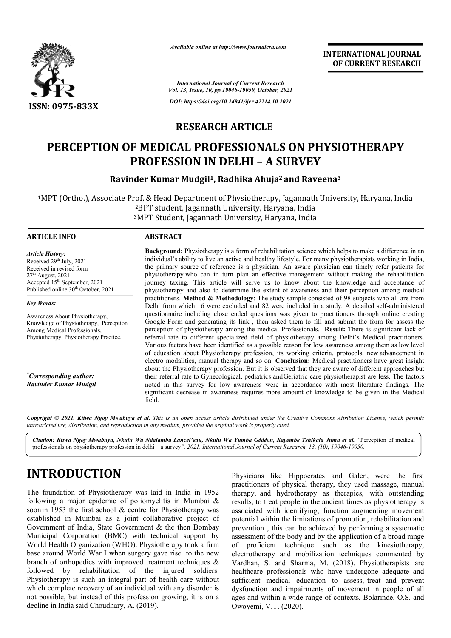

*Available online at http://www.journalcra.com*

**INTERNATIONAL JOURNAL OF CURRENT RESEARCH**

*International Journal of Current Research Vol. 13, Issue, 10, pp.19046-19050, October, 2021 DOI: https://doi.org/10.24941/ijcr.42214.10.2021*

## **RESEARCH ARTICLE**

# **PERCEPTION OF MEDICAL PROFESSIONALS ON PHYSIOTHERAPY PROFESSION IN DELHI – A SURVEY Ravinder Kumar Mudgil<sup>1</sup>, Radhika Ahuja<sup>2</sup> and Raveena<sup>3</sup><br>Ravinder Kumar Mudgil<sup>1</sup>, Radhika Ahuja<sup>2</sup> and Raveena<sup>3</sup>**

<sup>1</sup>MPT (Ortho.), Associate Prof. & Head Department of Physiotherapy, Jagannath University, Haryana, India 2BPT student, Jagannath University, Haryana, India <sup>2</sup>BPT student, Jagannath University, Haryana, India<br><sup>3</sup>MPT Student, Jagannath University, Haryana, India

#### **ARTICLE INFO ABSTRACT**

*Article History: Article History:* Received  $29<sup>th</sup>$  July,  $2021$ Received in revised form Received in revised form Received in revised form<br>27<sup>th</sup> August, 2021 Accepted 15<sup>th</sup> September, 2021 Published online 30<sup>th</sup> October, 2021

*Key Words:*

Awareness About Physiotherapy, Knowledge of Physiotherapy, Perception Among Medical Professionals, Physiotherapy, Physiotherapy Practice.

*\* Corresponding author: Ravinder Kumar Mudgil*

Background: Physiotherapy is a form of rehabilitation science which helps to make a difference in an individual's ability to live an active and healthy lifestyle. For many physiotherapists working in India, the primary source of reference is a physician. An aware physician can timely refer patients for physiotherapy who can in turn plan an effective management without making the rehabilitation journey taxing. This article will serve us to know about the knowledge and acceptance of physiotherapy and also to determine the extent of awareness and their perception among medical practitioners. Method & Methodology: The study sample consisted of 98 subjects who all are from Delhi from which 16 were excluded and 82 were included in a study. A detailed self-administered questionnaire including close ended questions was given to practitioners through online creating questionnaire including close ended questions was given to practitioners through online creating<br>Google Form and generating its link, then asked them to fill and submit the form for assess the perception of physiotherapy among the medical Professionals. **Result:**  There is significant lack of referral rate to different specialized field of physiotherapy among Delhi's Medical practitioners. Various factors have been identified as a possible reason for low awareness among them as low level of education about Physiotherapy profession, its working criteria, protocols, new advancement in electro modalities, manual therapy and so on. **Conclusion:** Medical practitioners have great insight about the Physiotherapy profession. But it is observed that they are aware of different approaches but their referral rate to Gynecological, pediatrics and Geriatric care physiotherapist are less. The factors noted in this survey for low awareness were in accordance with most literature findings. The significant decrease in awareness requires more amount of knowledge to be given in the Medical field. is a cive and healthy lifestyle. For many physiotherapists working ence is a physician. An aware physician can timely refer pat turn plan an effective management without making the rehalle will serve us to know about the k

Copyright © 2021. Kitwa Ngoy Mwabuya et al. This is an open access article distributed under the Creative Commons Attribution License, which permits *unrestricted use, distribution, and reproduction in any medium, provided the original work is properly cited.*

*Citation: Kitwa Ngoy Mwabuya, Nkulu Wa Ndalamba Lancel'eau, Nkulu Wa Yumba Gédéon, Kayembe Tshikala Juma Kayembe Tshikala et al. "*Perception of medical professionals on physiotherapy profession in delhi – a survey *", 2021. International Journal of Current Research, 13, (10), 10), 19046-19050.*

# **INTRODUCTION**

The foundation of Physiotherapy was laid in India in 1952 following a major epidemic of poliomyelitis in Mumbai & soon in 1953 the first school & centre for Physiotherapy was established in Mumbai as a joint collaborative project of Government of India, State Government & the then Bombay Municipal Corporation (BMC) with technical support by World Health Organization (WHO). Physiotherapy took a firm base around World War I when surgery gave rise to the new branch of orthopedics with improved treatment techniques & followed by rehabilitation of the injured soldiers. Physiotherapy is such an integral part of health care without which complete recovery of an individual with any disorder is not possible, but instead of this profession growi decline in India said Choudhary, A. (2019). proved treatment techniques &<br>of the injured soldiers.<br>gral part of health care without<br>individual with any disorder is<br>s profession growing, it is on a

Physicians like Hippocrates and Galen, were the first practitioners of physical therapy, they used massage, manual therapy, and hydrotherapy as therapies, with outstanding results, to treat people in the ancient times as physiotherapy is associated with identifying, function augmenting movement potential within the limitations of promotion, rehabilitation and prevention , this can be achieved by performing a systematic prevention, this can be achieved by performing a systematic<br>assessment of the body and by the application of a broad range of proficient technique such as the kinesiotherapy, electrotherapy and mobilization techniques commented by Vardhan, S. and Sharma, M. (2018). Physiotherapists are healthcare professionals who have undergone adequate and sufficient medical education to assess, treat and prevent dysfunction and impairments of movement in people of all ages and within a wide range of contexts, Bolarinde, O.S. and Owoyemi, V.T. (2020). Physicians like Hippocrates and Galen, practitioners of physical therapy, they used therapy, and hydrotherapy as therapies, results, to treat people in the ancient times as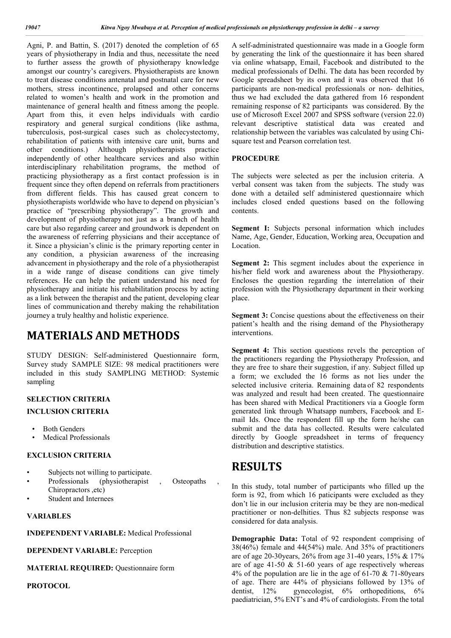Agni, P. and Battin, S. (2017) denoted the completion of 65 years of physiotherapy in India and thus, necessitate the need to further assess the growth of physiotherapy knowledge amongst our country's caregivers. Physiotherapists are known to treat disease conditions antenatal and postnatal care for new mothers, stress incontinence, prolapsed and other concerns related to women's health and work in the promotion and maintenance of general health and fitness among the people. Apart from this, it even helps individuals with cardio respiratory and general surgical conditions (like asthma, tuberculosis, post-surgical cases such as cholecystectomy, rehabilitation of patients with intensive care unit, burns and other conditions.) Although physiotherapists practice independently of other healthcare services and also within interdisciplinary rehabilitation programs, the method of practicing physiotherapy as a first contact profession is in frequent since they often depend on referrals from practitioners from different fields. This has caused great concern to physiotherapists worldwide who have to depend on physician's practice of "prescribing physiotherapy". The growth and development of physiotherapy not just as a branch of health care but also regarding career and groundwork is dependent on the awareness of referring physicians and their acceptance of it. Since a physician's clinic is the primary reporting center in any condition, a physician awareness of the increasing advancement in physiotherapy and the role of a physiotherapist in a wide range of disease conditions can give timely references. He can help the patient understand his need for physiotherapy and initiate his rehabilitation process by acting as a link between the therapist and the patient, developing clear lines of communication and thereby making the rehabilitation journey a truly healthy and holistic experience.

## **MATERIALS AND METHODS**

STUDY DESIGN: Self-administered Questionnaire form, Survey study SAMPLE SIZE: 98 medical practitioners were included in this study SAMPLING METHOD: Systemic sampling

#### **SELECTION CRITERIA**

### **INCLUSION CRITERIA**

- Both Genders
- Medical Professionals

#### **EXCLUSION CRITERIA**

- Subjects not willing to participate.
- Professionals (physiotherapist , Osteopaths Chiropractors ,etc)
- Student and Internees

#### **VARIABLES**

**INDEPENDENT VARIABLE:** Medical Professional

**DEPENDENT VARIABLE:** Perception

**MATERIAL REQUIRED:** Questionnaire form

**PROTOCOL**

A self-administrated questionnaire was made in a Google form by generating the link of the questionnaire it has been shared via online whatsapp, Email, Facebook and distributed to the medical professionals of Delhi. The data has been recorded by Google spreadsheet by its own and it was observed that 16 participants are non-medical professionals or non- delhities, thus we had excluded the data gathered from 16 respondent remaining response of 82 participants was considered. By the use of Microsoft Excel 2007 and SPSS software (version 22.0) relevant descriptive statistical data was created and relationship between the variables was calculated by using Chisquare test and Pearson correlation test.

#### **PROCEDURE**

The subjects were selected as per the inclusion criteria. A verbal consent was taken from the subjects. The study was done with a detailed self administered questionnaire which includes closed ended questions based on the following contents.

**Segment I:** Subjects personal information which includes Name, Age, Gender, Education, Working area, Occupation and Location.

**Segment 2:** This segment includes about the experience in his/her field work and awareness about the Physiotherapy. Encloses the question regarding the interrelation of their profession with the Physiotherapy department in their working place.

**Segment 3:** Concise questions about the effectiveness on their patient's health and the rising demand of the Physiotherapy interventions.

**Segment 4:** This section questions revels the perception of the practitioners regarding the Physiotherapy Profession, and they are free to share their suggestion, if any. Subject filled up a form; we excluded the 16 forms as not lies under the selected inclusive criteria. Remaining data of 82 respondents was analyzed and result had been created. The questionnaire has been shared with Medical Practitioners via a Google form generated link through Whatsapp numbers, Facebook and Email Ids. Once the respondent fill up the form he/she can submit and the data has collected. Results were calculated directly by Google spreadsheet in terms of frequency distribution and descriptive statistics.

## **RESULTS**

In this study, total number of participants who filled up the form is 92, from which 16 paticipants were excluded as they don't lie in our inclusion criteria may be they are non-medical practitioner or non-delhities. Thus 82 subjects response was considered for data analysis.

**Demographic Data:** Total of 92 respondent comprising of 38(46%) female and 44(54%) male. And 35% of practitioners are of age 20-30years, 26% from age 31-40 years, 15% & 17% are of age 41-50 & 51-60 years of age respectively whereas 4% of the population are lie in the age of 61-70 & 71-80years of age. There are 44% of physicians followed by 13% of dentist, 12% gynecologist, 6% orthopeditions, 6% paediatrician, 5% ENT's and 4% of cardiologists. From the total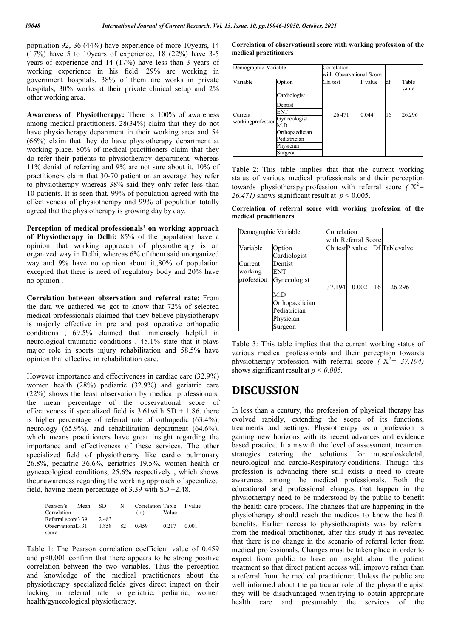population 92, 36 (44%) have experience of more 10years, 14  $(17%)$  have 5 to 10 years of experience, 18  $(22%)$  have 3-5 years of experience and 14 (17%) have less than 3 years of working experience in his field. 29% are working in government hospitals, 38% of them are works in private hospitals, 30% works at their private clinical setup and 2% other working area.

**Awareness of Physiotherapy:** There is 100% of awareness among medical practitioners. 28(34%) claim that they do not have physiotherapy department in their working area and 54 (66%) claim that they do have physiotherapy department at working place. 80% of medical practitioners claim that they do refer their patients to physiotherapy department, whereas 11% denial of referring and 9% are not sure about it. 10% of practitioners claim that 30-70 patient on an average they refer to physiotherapy whereas 38% said they only refer less than 10 patients. It is seen that, 99% of population agreed with the effectiveness of physiotherapy and 99% of population totally agreed that the physiotherapy is growing day by day.

**Perception of medical professionals' on working approach of Physiotherapy in Delhi:** 85% of the population have a opinion that working approach of physiotherapy is an organized way in Delhi, whereas 6% of them said unorganized way and 9% have no opinion about it.,80% of population excepted that there is need of regulatory body and 20% have no opinion .

**Correlation between observation and referral rate:** From the data we gathered we got to know that 72% of selected medical professionals claimed that they believe physiotherapy is majorly effective in pre and post operative orthopedic conditions , 69.5% claimed that immensely helpful in neurological traumatic conditions , 45.1% state that it plays major role in sports injury rehabilitation and 58.5% have opinion that effective in rehabilitation care.

However importance and effectiveness in cardiac care (32.9%) women health (28%) pediatric (32.9%) and geriatric care (22%) shows the least observation by medical professionals, the mean percentage of the observational score of effectiveness if specialized field is  $3.61$  with SD  $\pm$  1.86. there is higher percentage of referral rate of orthopedic (63.4%), neurology (65.9%), and rehabilitation department (64.6%), which means practitioners have great insight regarding the importance and effectiveness of these services. The other specialized field of physiotherapy like cardio pulmonary 26.8%, pediatric 36.6%, geriatrics 19.5%, women health or gyneacological conditions, 25.6% respectively , which shows theunawareness regarding the working approach of specialized field, having mean percentage of 3.39 with SD  $\pm$ 2.48.

| Pearson's          | Mean | SD.   | N  | Correlation Table | P value |       |
|--------------------|------|-------|----|-------------------|---------|-------|
| Correlation        |      |       |    |                   | Value   |       |
| Referral score3.39 |      | 2.483 |    |                   |         |       |
| Observational 3.31 |      | 1.858 | 82 | 0.459             | 0.217   | 0.001 |
| score              |      |       |    |                   |         |       |

Table 1: The Pearson correlation coefficient value of 0.459 and  $p<0.001$  confirm that there appears to be strong positive correlation between the two variables. Thus the perception and knowledge of the medical practitioners about the physiotherapy specialized fields gives direct impact on their lacking in referral rate to geriatric, pediatric, women health/gynecological physiotherapy.

#### **Correlation of observational score with working profession of the medical practitioners**

| Demographic Variable           |                | Correlation<br>with Observational Score |         |    |                |
|--------------------------------|----------------|-----------------------------------------|---------|----|----------------|
| Variable                       | Option         | Chi test                                | P value | df | Table<br>value |
|                                | Cardiologist   |                                         |         | 16 |                |
|                                | Dentist        |                                         | 0.044   |    | 26.296         |
| Current                        | ENT            | 26.471                                  |         |    |                |
| workingprofession Gynecologist |                |                                         |         |    |                |
|                                | M.D            |                                         |         |    |                |
|                                | Orthopaedician |                                         |         |    |                |
|                                | Pediatrician   |                                         |         |    |                |
|                                | Physician      |                                         |         |    |                |
|                                | Surgeon        |                                         |         |    |                |

Table 2: This table implies that that the current working status of various medical professionals and their perception towards physiotherapy profession with referral score  $(X^2 =$ 26.471) shows significant result at  $p < 0.005$ .

**Correlation of referral score with working profession of the medical practitioners**

| Demographic Variable |                | Correlation<br>with Referral Scorel |       |    |                               |  |
|----------------------|----------------|-------------------------------------|-------|----|-------------------------------|--|
| Variable             | Option         |                                     |       |    | Chitest P value Df Tablevalve |  |
|                      | Cardiologist   |                                     |       |    |                               |  |
| Current              | Dentist        |                                     |       |    |                               |  |
| working              | ENT            |                                     |       |    |                               |  |
| profession           | Gynecologist   |                                     |       |    |                               |  |
|                      |                | 37.194                              | 0.002 | 16 | 26.296                        |  |
|                      | M.D            |                                     |       |    |                               |  |
|                      | Orthopaedician |                                     |       |    |                               |  |
|                      | Pediatrician   |                                     |       |    |                               |  |
|                      | Physician      |                                     |       |    |                               |  |
|                      | Surgeon        |                                     |       |    |                               |  |

Table 3: This table implies that the current working status of various medical professionals and their perception towards physiotherapy profession with referral score  $(X^2 = 37.194)$ shows significant result at  $p < 0.005$ .

## **DISCUSSION**

In less than a century, the profession of physical therapy has evolved rapidly, extending the scope of its functions, treatments and settings. Physiotherapy as a profession is gaining new horizons with its recent advances and evidence based practice. It aimswith the level of assessment, treatment strategies catering the solutions for musculoskeletal, neurological and cardio-Respiratory conditions. Though this profession is advancing there still exists a need to create awareness among the medical professionals. Both the educational and professional changes that happen in the physiotherapy need to be understood by the public to benefit the health care process. The changes that are happening in the physiotherapy should reach the medicos to know the health benefits. Earlier access to physiotherapists was by referral from the medical practitioner, after this study it has revealed that there is no change in the scenario of referral letter from medical professionals. Changes must be taken place in order to expect from public to have an insight about the patient treatment so that direct patient access will improve rather than a referral from the medical practitioner. Unless the public are well informed about the particular role of the physiotherapist they will be disadvantaged when trying to obtain appropriate health care and presumably the services of the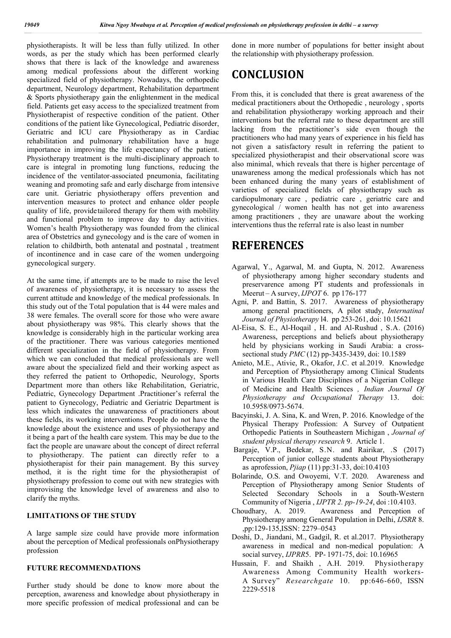physiotherapists. It will be less than fully utilized. In other words, as per the study which has been performed clearly shows that there is lack of the knowledge and awareness among medical professions about the different working specialized field of physiotherapy. Nowadays, the orthopedic department, Neurology department, Rehabilitation department & Sports physiotherapy gain the enlightenment in the medical field. Patients get easy access to the specialized treatment from Physiotherapist of respective condition of the patient. Other conditions of the patient like Gynecological, Pediatric disorder, Geriatric and ICU care Physiotherapy as in Cardiac rehabilitation and pulmonary rehabilitation have a huge importance in improving the life expectancy of the patient. Physiotherapy treatment is the multi-disciplinary approach to care is integral in promoting lung functions, reducing the incidence of the ventilator-associated pneumonia, facilitating weaning and promoting safe and early discharge from intensive care unit. Geriatric physiotherapy offers prevention and intervention measures to protect and enhance older people quality of life, providetailored therapy for them with mobility and functional problem to improve day to day activities. Women's health Physiotherapy was founded from the clinical area of Obstetrics and gynecology and is the care of women in relation to childbirth, both antenatal and postnatal , treatment of incontinence and in case care of the women undergoing gynecological surgery.

At the same time, if attempts are to be made to raise the level of awareness of physiotherapy, it is necessary to assess the current attitude and knowledge of the medical professionals. In this study out of the Total population that is 44 were males and 38 were females. The overall score for those who were aware about physiotherapy was 98%. This clearly shows that the knowledge is considerably high in the particular working area of the practitioner. There was various categories mentioned different specialization in the field of physiotherapy. From which we can concluded that medical professionals are well aware about the specialized field and their working aspect as they referred the patient to Orthopedic, Neurology, Sports Department more than others like Rehabilitation, Geriatric, Pediatric, Gynecology Department .Practitioner's referral the patient to Gynecology, Pediatric and Geriatric Department is less which indicates the unawareness of practitioners about these fields, its working interventions. People do not have the knowledge about the existence and uses of physiotherapy and it being a part of the health care system. This may be due to the fact the people are unaware about the concept of direct referral to physiotherapy. The patient can directly refer to a physiotherapist for their pain management. By this survey method, it is the right time for the physiotherapist of physiotherapy profession to come out with new strategies with improvising the knowledge level of awareness and also to clarify the myths.

### **LIMITATIONS OF THE STUDY**

A large sample size could have provide more information about the perception of Medical professionals onPhysiotherapy profession

#### **FUTURE RECOMMENDATIONS**

Further study should be done to know more about the perception, awareness and knowledge about physiotherapy in more specific profession of medical professional and can be done in more number of populations for better insight about the relationship with physiotherapy profession.

## **CONCLUSION**

From this, it is concluded that there is great awareness of the medical practitioners about the Orthopedic , neurology , sports and rehabilitation physiotherapy working approach and their interventions but the referral rate to these department are still lacking from the practitioner's side even though the practitioners who had many years of experience in his field has not given a satisfactory result in referring the patient to specialized physiotherapist and their observational score was also minimal, which reveals that there is higher percentage of unawareness among the medical professionals which has not been enhanced during the many years of establishment of varieties of specialized fields of physiotherapy such as cardiopulmonary care , pediatric care , geriatric care and gynecological / women health has not get into awareness among practitioners , they are unaware about the working interventions thus the referral rate is also least in number

## **REFERENCES**

- Agarwal, Y., Agarwal, M. and Gupta, N. 2012. Awareness of physiotherapy among higher secondary students and preservarence among PT students and professionals in Meerut – A survey, *IJPOT* 6. pp 176-177
- Agni, P. and Battin, S. 2017. Awareness of physiotherapy among general practitioners, A pilot study, *Internatinal Journal of Physiotherapy* l4. pp 253-261, doi: 10.15621
- Al-Eisa, S. E., Al-Hoqail , H. and Al-Rushud , S.A. (2016) Awareness, perceptions and beliefs about physiotherapy held by physicians working in Saudi Arabia: a crosssectional study *PMC* (12) pp-3435-3439, doi: 10.1589
- Anieto, M.E., Ativie, R., Okafor, J.C. et al.2019. Knowledge and Perception of Physiotherapy among Clinical Students in Various Health Care Disciplines of a Nigerian College of Medicine and Health Sciences *, Indian Journal Of Physiotherapy and Occupational Therapy* 13. doi: 10.5958/0973-5674.
- Bacyinski, J. A. Sina, K. and Wren, P. 2016. Knowledge of the Physical Therapy Profession: A Survey of Outpatient Orthopedic Patients in Southeastern Michigan , *Journal of student physical therapy research* 9. Article 1.
- Bargaje, V.P., Bedekar, S.N. and Rairikar, .S (2017) Perception of junior college students about Physiotherapy as aprofession, *Pjiap* (11) pp:31-33, doi:10.4103
- Bolarinde, O.S. and Owoyemi, V.T. 2020. Awareness and Perception of Physiotherapy among Senior Students of Selected Secondary Schools in a South-Western Community of Nigeria , *IJPTR 2. pp-19-24*, doi :10.4103.
- Choudhary, A. 2019. Awareness and Perception of Physiotherapy among General Population in Delhi, *IJSRR* 8. ,pp:129-135,ISSN: 2279–0543
- Doshi, D., Jiandani, M., Gadgil, R. et al.2017. Physiotherapy awareness in medical and non-medical population: A social survey, *IJPRR*5. PP- 1971-75, doi: 10.16965
- Hussain, F. and Shaikh , A.H. 2019. Physiotherapy Awareness Among Community Health workers-A Survey" *Researchgate* 10. pp:646-660, ISSN 2229-5518